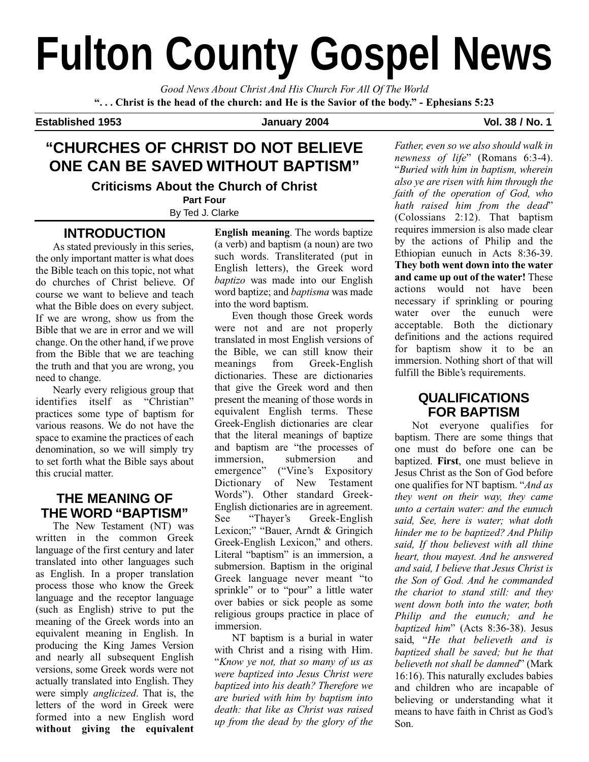# **Fulton County Gospel News**

*Good News About Christ And His Church For All Of The World* **". . . Christ is the head of the church: and He is the Savior of the body." - Ephesians 5:23**

**Established 1953 January 2004 Vol. 38 / No. 1**

## **"CHURCHES OF CHRIST DO NOT BELIEVE ONE CAN BE SAVED WITHOUT BAPTISM"**

**Criticisms About the Church of Christ**

**Part Four** By Ted J. Clarke

## **INTRODUCTION**

As stated previously in this series, the only important matter is what does the Bible teach on this topic, not what do churches of Christ believe. Of course we want to believe and teach what the Bible does on every subject. If we are wrong, show us from the Bible that we are in error and we will change. On the other hand, if we prove from the Bible that we are teaching the truth and that you are wrong, you need to change.

Nearly every religious group that identifies itself as "Christian" practices some type of baptism for various reasons. We do not have the space to examine the practices of each denomination, so we will simply try to set forth what the Bible says about this crucial matter.

## **THE MEANING OF THE WORD "BAPTISM"**

The New Testament (NT) was written in the common Greek language of the first century and later translated into other languages such as English. In a proper translation process those who know the Greek language and the receptor language (such as English) strive to put the meaning of the Greek words into an equivalent meaning in English. In producing the King James Version and nearly all subsequent English versions, some Greek words were not actually translated into English. They were simply *anglicized*. That is, the letters of the word in Greek were formed into a new English word **without giving the equivalent** **English meaning**. The words baptize (a verb) and baptism (a noun) are two such words. Transliterated (put in English letters), the Greek word *baptizo* was made into our English word baptize; and *baptisma* was made into the word baptism.

Even though those Greek words were not and are not properly translated in most English versions of the Bible, we can still know their meanings from Greek-English dictionaries. These are dictionaries that give the Greek word and then present the meaning of those words in equivalent English terms. These Greek-English dictionaries are clear that the literal meanings of baptize and baptism are "the processes of immersion, submersion and emergence" ("Vine's Expository Dictionary of New Testament Words"). Other standard Greek-English dictionaries are in agreement. See "Thayer's Greek-English Lexicon;" "Bauer, Arndt & Gringich Greek-English Lexicon," and others. Literal "baptism" is an immersion, a submersion. Baptism in the original Greek language never meant "to sprinkle" or to "pour" a little water over babies or sick people as some religious groups practice in place of immersion.

NT baptism is a burial in water with Christ and a rising with Him. "*Know ye not, that so many of us as were baptized into Jesus Christ were baptized into his death? Therefore we are buried with him by baptism into death: that like as Christ was raised up from the dead by the glory of the*

*Father, even so we also should walk in newness of life*" (Romans 6:3-4). "*Buried with him in baptism, wherein also ye are risen with him through the faith of the operation of God, who hath raised him from the dead*" (Colossians 2:12). That baptism requires immersion is also made clear by the actions of Philip and the Ethiopian eunuch in Acts 8:36-39. **They both went down into the water and came up out of the water!** These actions would not have been necessary if sprinkling or pouring water over the eunuch were acceptable. Both the dictionary definitions and the actions required for baptism show it to be an immersion. Nothing short of that will fulfill the Bible's requirements.

## **QUALIFICATIONS FOR BAPTISM**

Not everyone qualifies for baptism. There are some things that one must do before one can be baptized. **First**, one must believe in Jesus Christ as the Son of God before one qualifies for NT baptism. "*And as they went on their way, they came unto a certain water: and the eunuch said, See, here is water; what doth hinder me to be baptized? And Philip said, If thou believest with all thine heart, thou mayest. And he answered and said, I believe that Jesus Christ is the Son of God. And he commanded the chariot to stand still: and they went down both into the water, both Philip and the eunuch; and he baptized him*" (Acts 8:36-38). Jesus said, "*He that believeth and is baptized shall be saved; but he that believeth not shall be damned*" (Mark 16:16). This naturally excludes babies and children who are incapable of believing or understanding what it means to have faith in Christ as God's Son.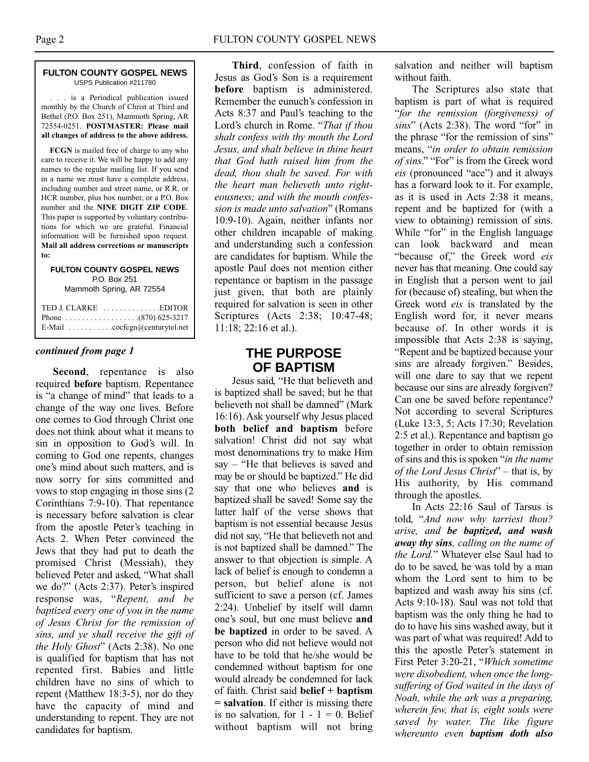#### **FULTON COUNTY GOSPEL NEWS** USPS Publication #211780

. . . is a Periodical publication issued monthly by the Church of Christ at Third and Bethel (P.O. Box 251), Mammoth Spring, AR 72554-0251. **POSTMASTER: Please mail all changes of address to the above address.**

**FCGN** is mailed free of charge to any who care to receive it. We will be happy to add any names to the regular mailing list. If you send in a name we must have a complete address, including number and street name, or R.R. or HCR number, plus box number, or a P.O. Box number and the **NINE DIGIT ZIP CODE**. This paper is supported by voluntary contributions for which we are grateful. Financial information will be furnished upon request. **Mail all address corrections or manuscripts to:**

#### **FULTON COUNTY GOSPEL NEWS** P.O. Box 251 Mammoth Spring, AR 72554

| E-Mail $\ldots \ldots \ldots \ldots$ cocfcgn@centurytel.net |
|-------------------------------------------------------------|

#### *continued from page 1*

**Second**, repentance is also required **before** baptism. Repentance is "a change of mind" that leads to a change of the way one lives. Before one comes to God through Christ one does not think about what it means to sin in opposition to God's will. In coming to God one repents, changes one's mind about such matters, and is now sorry for sins committed and vows to stop engaging in those sins (2 Corinthians 7:9-10). That repentance is necessary before salvation is clear from the apostle Peter's teaching in Acts 2. When Peter convinced the Jews that they had put to death the promised Christ (Messiah), they believed Peter and asked, "What shall we do?" (Acts 2:37). Peter's inspired response was, "*Repent, and be baptized every one of you in the name of Jesus Christ for the remission of sins, and ye shall receive the gift of the Holy Ghost*" (Acts 2:38). No one is qualified for baptism that has not repented first. Babies and little children have no sins of which to repent (Matthew 18:3-5), nor do they have the capacity of mind and understanding to repent. They are not candidates for baptism.

**Third**, confession of faith in Jesus as God's Son is a requirement **before** baptism is administered. Remember the eunuch's confession in Acts 8:37 and Paul's teaching to the Lord's church in Rome. "*That if thou shalt confess with thy mouth the Lord Jesus, and shalt believe in thine heart that God hath raised him from the dead, thou shalt be saved. For with the heart man believeth unto righteousness; and with the mouth confession is made unto salvation*" (Romans 10:9-10). Again, neither infants nor other children incapable of making and understanding such a confession are candidates for baptism. While the apostle Paul does not mention either repentance or baptism in the passage just given, that both are plainly required for salvation is seen in other Scriptures (Acts 2:38; 10:47-48; 11:18; 22:16 et al.).

## **THE PURPOSE OF BAPTISM**

Jesus said, "He that believeth and is baptized shall be saved; but he that believeth not shall be damned" (Mark 16:16). Ask yourself why Jesus placed **both belief and baptism** before salvation! Christ did not say what most denominations try to make Him say – "He that believes is saved and may be or should be baptized." He did say that one who believes **and** is baptized shall be saved! Some say the latter half of the verse shows that baptism is not essential because Jesus did not say, "He that believeth not and is not baptized shall be damned." The answer to that objection is simple. A lack of belief is enough to condemn a person, but belief alone is not sufficient to save a person (cf. James 2:24). Unbelief by itself will damn one's soul, but one must believe **and be baptized** in order to be saved. A person who did not believe would not have to be told that he/she would be condemned without baptism for one would already be condemned for lack of faith. Christ said **belief + baptism = salvation**. If either is missing there is no salvation, for  $1 - 1 = 0$ . Belief without baptism will not bring

salvation and neither will baptism without faith.

The Scriptures also state that baptism is part of what is required "*for the remission (forgiveness) of sins*" (Acts 2:38). The word "for" in the phrase "for the remission of sins" means, "*in order to obtain remission of sins*." "For" is from the Greek word *eis* (pronounced "ace") and it always has a forward look to it. For example, as it is used in Acts 2:38 it means, repent and be baptized for (with a view to obtaining) remission of sins. While "for" in the English language can look backward and mean "because of," the Greek word *eis* never has that meaning. One could say in English that a person went to jail for (because of) stealing, but when the Greek word *eis* is translated by the English word for, it never means because of. In other words it is impossible that Acts 2:38 is saying, "Repent and be baptized because your sins are already forgiven." Besides, will one dare to say that we repent because our sins are already forgiven? Can one be saved before repentance? Not according to several Scriptures (Luke 13:3, 5; Acts 17:30; Revelation 2:5 et al.). Repentance and baptism go together in order to obtain remission of sins and this is spoken "*in the name of the Lord Jesus Christ*" – that is, by His authority, by His command through the apostles.

In Acts 22:16 Saul of Tarsus is told, "*And now why tarriest thou? arise, and be baptized, and wash away thy sins, calling on the name of the Lord.*" Whatever else Saul had to do to be saved, he was told by a man whom the Lord sent to him to be baptized and wash away his sins (cf. Acts 9:10-18). Saul was not told that baptism was the only thing he had to do to have his sins washed away, but it was part of what was required! Add to this the apostle Peter's statement in First Peter 3:20-21, "*Which sometime were disobedient, when once the longsuffering of God waited in the days of Noah, while the ark was a preparing, wherein few, that is, eight souls were saved by water. The like figure whereunto even baptism doth also*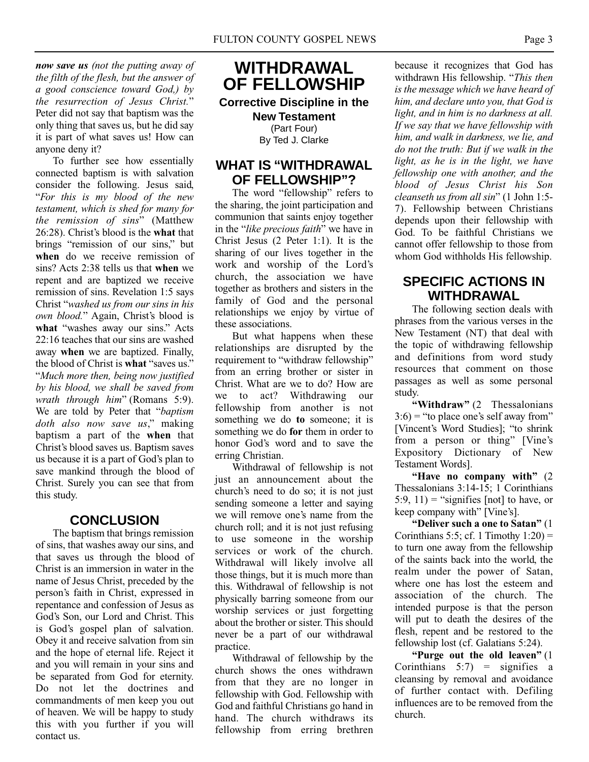*now save us (not the putting away of the filth of the flesh, but the answer of a good conscience toward God,) by the resurrection of Jesus Christ.*" Peter did not say that baptism was the only thing that saves us, but he did say it is part of what saves us! How can anyone deny it?

To further see how essentially connected baptism is with salvation consider the following. Jesus said, "*For this is my blood of the new testament, which is shed for many for the remission of sins*" (Matthew 26:28). Christ's blood is the **what** that brings "remission of our sins," but **when** do we receive remission of sins? Acts 2:38 tells us that **when** we repent and are baptized we receive remission of sins. Revelation 1:5 says Christ "*washed us from our sins in his own blood.*" Again, Christ's blood is **what** "washes away our sins." Acts 22:16 teaches that our sins are washed away **when** we are baptized. Finally, the blood of Christ is **what** "saves us." "*Much more then, being now justified by his blood, we shall be saved from wrath through him*" (Romans 5:9). We are told by Peter that "*baptism doth also now save us*," making baptism a part of the **when** that Christ's blood saves us. Baptism saves us because it is a part of God's plan to save mankind through the blood of Christ. Surely you can see that from this study.

## **CONCLUSION**

The baptism that brings remission of sins, that washes away our sins, and that saves us through the blood of Christ is an immersion in water in the name of Jesus Christ, preceded by the person's faith in Christ, expressed in repentance and confession of Jesus as God's Son, our Lord and Christ. This is God's gospel plan of salvation. Obey it and receive salvation from sin and the hope of eternal life. Reject it and you will remain in your sins and be separated from God for eternity. Do not let the doctrines and commandments of men keep you out of heaven. We will be happy to study this with you further if you will contact us.

**WITHDRAWAL OF FELLOWSHIP**

**Corrective Discipline in the New Testament** (Part Four) By Ted J. Clarke

## **WHAT IS "WITHDRAWAL OF FELLOWSHIP"?**

The word "fellowship" refers to the sharing, the joint participation and communion that saints enjoy together in the "*like precious faith*" we have in Christ Jesus (2 Peter 1:1). It is the sharing of our lives together in the work and worship of the Lord's church, the association we have together as brothers and sisters in the family of God and the personal relationships we enjoy by virtue of these associations.

But what happens when these relationships are disrupted by the requirement to "withdraw fellowship" from an erring brother or sister in Christ. What are we to do? How are we to act? Withdrawing our fellowship from another is not something we do **to** someone; it is something we do **for** them in order to honor God's word and to save the erring Christian.

Withdrawal of fellowship is not just an announcement about the church's need to do so; it is not just sending someone a letter and saying we will remove one's name from the church roll; and it is not just refusing to use someone in the worship services or work of the church. Withdrawal will likely involve all those things, but it is much more than this. Withdrawal of fellowship is not physically barring someone from our worship services or just forgetting about the brother or sister. This should never be a part of our withdrawal practice.

Withdrawal of fellowship by the church shows the ones withdrawn from that they are no longer in fellowship with God. Fellowship with God and faithful Christians go hand in hand. The church withdraws its fellowship from erring brethren

because it recognizes that God has withdrawn His fellowship. "*This then is the message which we have heard of him, and declare unto you, that God is light, and in him is no darkness at all. If we say that we have fellowship with him, and walk in darkness, we lie, and do not the truth: But if we walk in the light, as he is in the light, we have fellowship one with another, and the blood of Jesus Christ his Son cleanseth us from all sin*" (1 John 1:5- 7). Fellowship between Christians depends upon their fellowship with God. To be faithful Christians we cannot offer fellowship to those from whom God withholds His fellowship.

## **SPECIFIC ACTIONS IN WITHDRAWAL**

The following section deals with phrases from the various verses in the New Testament (NT) that deal with the topic of withdrawing fellowship and definitions from word study resources that comment on those passages as well as some personal study.

**"Withdraw"** (2 Thessalonians  $3:6$  = "to place one's self away from" [Vincent's Word Studies]; "to shrink from a person or thing" [Vine's Expository Dictionary of New Testament Words].

**"Have no company with"** (2 Thessalonians 3:14-15; 1 Corinthians 5:9, 11) = "signifies [not] to have, or keep company with" [Vine's].

**"Deliver such a one to Satan"** (1 Corinthians 5:5; cf. 1 Timothy  $1:20$  = to turn one away from the fellowship of the saints back into the world, the realm under the power of Satan, where one has lost the esteem and association of the church. The intended purpose is that the person will put to death the desires of the flesh, repent and be restored to the fellowship lost (cf. Galatians 5:24).

**"Purge out the old leaven"** (1 Corinthians  $5:7$  = signifies a cleansing by removal and avoidance of further contact with. Defiling influences are to be removed from the church.